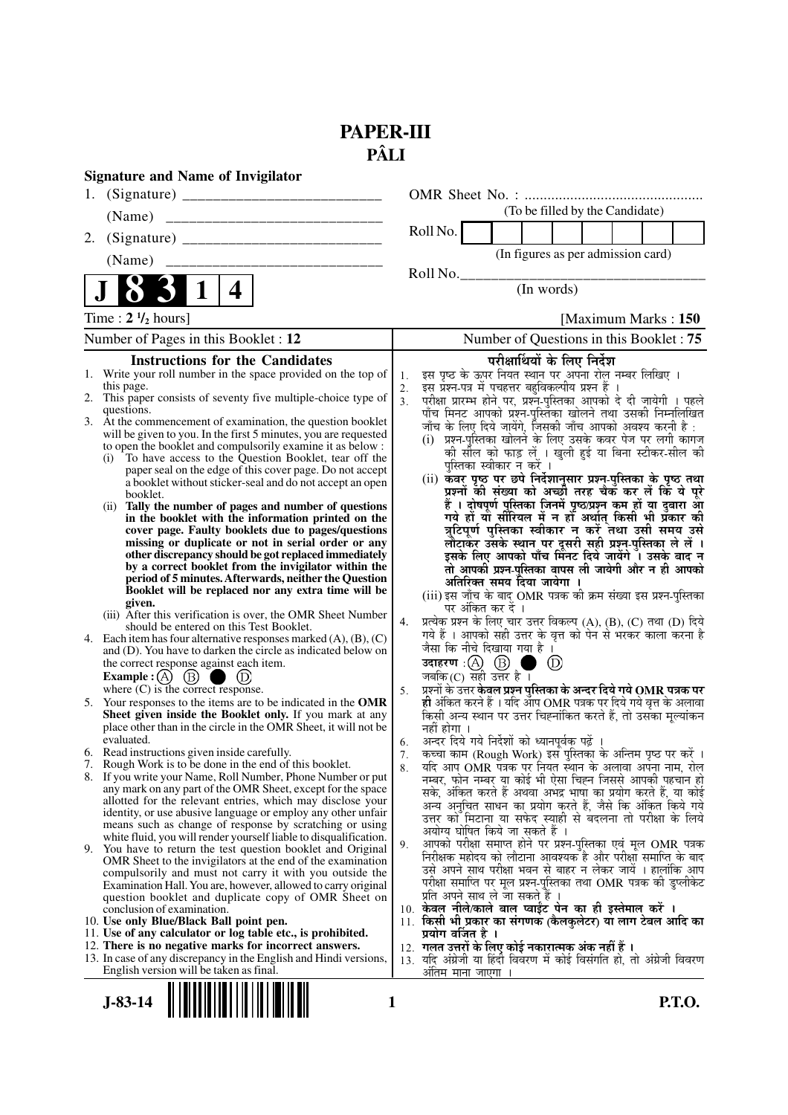# **PAPER-III PÂLI**

|    | <b>Signature and Name of Invigilator</b>                                                                                                 |                      |                                                                                                                                     |
|----|------------------------------------------------------------------------------------------------------------------------------------------|----------------------|-------------------------------------------------------------------------------------------------------------------------------------|
|    |                                                                                                                                          |                      |                                                                                                                                     |
|    | (Name)                                                                                                                                   |                      | (To be filled by the Candidate)                                                                                                     |
| 2. |                                                                                                                                          |                      | Roll No.                                                                                                                            |
|    | (Name)                                                                                                                                   |                      | (In figures as per admission card)                                                                                                  |
|    |                                                                                                                                          |                      | Roll No.                                                                                                                            |
|    | $\mathbf 1$<br>4                                                                                                                         |                      | (In words)                                                                                                                          |
|    | Time : $2 \frac{1}{2}$ hours]                                                                                                            |                      | [Maximum Marks: 150]                                                                                                                |
|    | Number of Pages in this Booklet : 12                                                                                                     |                      | Number of Questions in this Booklet: 75                                                                                             |
|    | <b>Instructions for the Candidates</b>                                                                                                   |                      | परीक्षार्थियों के लिए निर्देश                                                                                                       |
|    | 1. Write your roll number in the space provided on the top of<br>this page.                                                              | 1.                   | इस पृष्ठ के ऊपर नियत स्थान पर अपना रोल नम्बर लिखिए ।                                                                                |
|    | 2. This paper consists of seventy five multiple-choice type of                                                                           | 2.<br>3 <sub>1</sub> | इस प्रश्न-पत्र में पचहत्तर बहुविकल्पीय प्रश्न हैं ।                                                                                 |
|    | questions.                                                                                                                               |                      | परीक्षा प्रारम्भ होने पर, प्रश्न-पुस्तिका आपको दे दी जायेगी । पहले<br>पाँच मिनट आपको प्रश्न-पुस्तिका खोलने तथा उसकी निम्नलिखित      |
|    | 3. At the commencement of examination, the question booklet<br>will be given to you. In the first 5 minutes, you are requested           |                      | जाँच के लिए दिये जायेंगे, जिसकी जाँच आपको अवश्य करनी है :                                                                           |
|    | to open the booklet and compulsorily examine it as below :                                                                               |                      | (i) प्रश्न-पुस्तिका खोलने के लिए उसके कवर पेज पर लगी कागज<br>को सील को फाड़ लें । खुली हुई या बिना स्टीकर-सील की                    |
|    | To have access to the Question Booklet, tear off the<br>(i)                                                                              |                      | पस्तिका स्वीकार न करें ।                                                                                                            |
|    | paper seal on the edge of this cover page. Do not accept<br>a booklet without sticker-seal and do not accept an open                     |                      | (ii) कॅवर पृष्ठ पर छपे निर्देशानुसार प्रश्न-पुस्तिका के पृष्ठ तथा<br>प्रश्नों की संख्या को अच्छी तरह चैक कर लें कि ये पूरे          |
|    | booklet.                                                                                                                                 |                      |                                                                                                                                     |
|    | Tally the number of pages and number of questions<br>(ii)<br>in the booklet with the information printed on the                          |                      | हैं । दोषपूर्ण पुस्तिका जिनमें पृष्ठ/प्रश्न कम हों या दुबारा आ<br>गये हो या सीरियल में न हो अर्थात् किसी भी प्रकार की               |
|    | cover page. Faulty booklets due to pages/questions                                                                                       |                      | त्रुटिपूर्ण पुस्तिका स्वीकार न करें तथा उसी समय उसे                                                                                 |
|    | missing or duplicate or not in serial order or any                                                                                       |                      | लौटाकर उसके स्थान पर दूसरी सही प्रश्न-पुस्तिका ले लें ।<br>इसके लिए आपको पाँच मिनट दिये जायेंगे । उसके बाद न                        |
|    | other discrepancy should be got replaced immediately<br>by a correct booklet from the invigilator within the                             |                      | तो आपकी प्रश्न-पुस्तिका वापस ली जायेगी और न ही आपको                                                                                 |
|    | period of 5 minutes. Afterwards, neither the Question                                                                                    |                      | अतिरिक्त समय दिया जायेगा ।                                                                                                          |
|    | Booklet will be replaced nor any extra time will be                                                                                      |                      | (iii) इस जाँच के बाद OMR पत्रक की क्रम संख्या इस प्रश्न-पुस्तिका                                                                    |
|    | given.<br>(iii) After this verification is over, the OMR Sheet Number                                                                    |                      | पर अंकित कर दें ।                                                                                                                   |
|    | should be entered on this Test Booklet.                                                                                                  | 4.                   | प्रत्येक प्रश्न के लिए चार उत्तर विकल्प (A), (B), (C) तथा (D) दिये<br>गये हैं । आपको सही उत्तर के वृत्त को पेन से भरकर काला करना है |
|    | 4. Each item has four alternative responses marked $(A)$ , $(B)$ , $(C)$<br>and (D). You have to darken the circle as indicated below on |                      | जैसा कि नीचे दिखाया गया है ।                                                                                                        |
|    | the correct response against each item.                                                                                                  |                      | $^{\circledR}$                                                                                                                      |
|    | <b>Example</b> : $(A)$<br>$\circled{B}$                                                                                                  |                      | जबकि $(C)$ सही उत्तर है ।                                                                                                           |
|    | where $(C)$ is the correct response.                                                                                                     | 5.                   | प्रूशनों के उत्तर केवल प्रष्ट्रन पुस्तिका के अन्दर दिये गये OMR पत्रक पर                                                            |
|    | 5. Your responses to the items are to be indicated in the OMR<br>Sheet given inside the Booklet only. If you mark at any                 |                      | ही अंकित करने हैं । यदि आप OMR पत्रक पर दिये गये वृत्त के अलावा<br>किसी अन्य स्थान पर उत्तर चिह्नांकित करते हैं, तो उसका मूल्यांकन  |
|    | place other than in the circle in the OMR Sheet, it will not be                                                                          |                      | नहीं होगा ।                                                                                                                         |
|    | evaluated.                                                                                                                               | 6.                   | अन्दर दिये गये निर्देशों को ध्यानपूर्वक पढ़ें ।                                                                                     |
|    | 6. Read instructions given inside carefully.<br>7. Rough Work is to be done in the end of this booklet.                                  | 7.<br>8.             | कच्चा काम (Rough Work) इस पुस्तिका के अन्तिम पृष्ठ पर करें ।<br>र्याद आप OMR पत्रक पर नियत स्थान के अलावा अपना नाम, रोल             |
|    | 8. If you write your Name, Roll Number, Phone Number or put                                                                              |                      | नम्बर, फोन नम्बर या कोई भी ऐसा चिह्न जिससे आपकी पहचान हो                                                                            |
|    | any mark on any part of the OMR Sheet, except for the space<br>allotted for the relevant entries, which may disclose your                |                      | सके, अंकित करते हैं अथवा अभद्र भाषा का प्रयोग करते हैं, या कोई                                                                      |
|    | identity, or use abusive language or employ any other unfair                                                                             |                      | अन्य अनुचित साधन का प्रयोग करते हैं, जैसे कि अंकित किये गये<br>उत्तर को मिटाना या सफेद स्याही से बदलना तो परीक्षा के लिये           |
|    | means such as change of response by scratching or using                                                                                  |                      | अयोग्य घोषित किये जा सकते हैं ।                                                                                                     |
| 9. | white fluid, you will render yourself liable to disqualification.<br>You have to return the test question booklet and Original           | 9.                   | आपको परीक्षा समाप्त होने पर प्रश्न-पुस्तिका एवं मूल OMR पत्रक                                                                       |
|    | OMR Sheet to the invigilators at the end of the examination                                                                              |                      | निरीक्षक महोदय को लौटाना आवश्यक है और परीक्षा समाप्ति के बाद                                                                        |
|    | compulsorily and must not carry it with you outside the                                                                                  |                      | उसे अपने साथ परीक्षा भवन से बाहर न लेकर जायें । हालांकि आप<br>परीक्षा समाप्ति पर मूल प्रश्न-पुस्तिका तथा OMR पत्रक की डुप्लीकेट     |
|    | Examination Hall. You are, however, allowed to carry original<br>question booklet and duplicate copy of OMR Sheet on                     |                      | प्रति अपने साथ ले जा सकते हैं ।                                                                                                     |
|    | conclusion of examination.                                                                                                               |                      | 10. केवल नीले/काले बाल प्वाईंट पेन का ही इस्तेमाल करें ।                                                                            |
|    | 10. Use only Blue/Black Ball point pen.                                                                                                  |                      | 11. किसी भी प्रकार का संगणक (कैलकुलेटर) या लाग टेबल आदि का                                                                          |
|    | 11. Use of any calculator or log table etc., is prohibited.<br>12. There is no negative marks for incorrect answers.                     |                      | प्रयोग वर्जित है ।<br>12. गलत उत्तरों के लिए कोई नकारात्मक अंक नहीं हैं ।                                                           |
|    | 13. In case of any discrepancy in the English and Hindi versions,                                                                        |                      | 13. यदि अंग्रेजी या हिंदी विवरण में कोई विसंगति हो, तो अंग्रेजी विवरण                                                               |
|    | English version will be taken as final.                                                                                                  |                      | अंतिम मा <u>ना जाएगा</u>                                                                                                            |
|    |                                                                                                                                          |                      |                                                                                                                                     |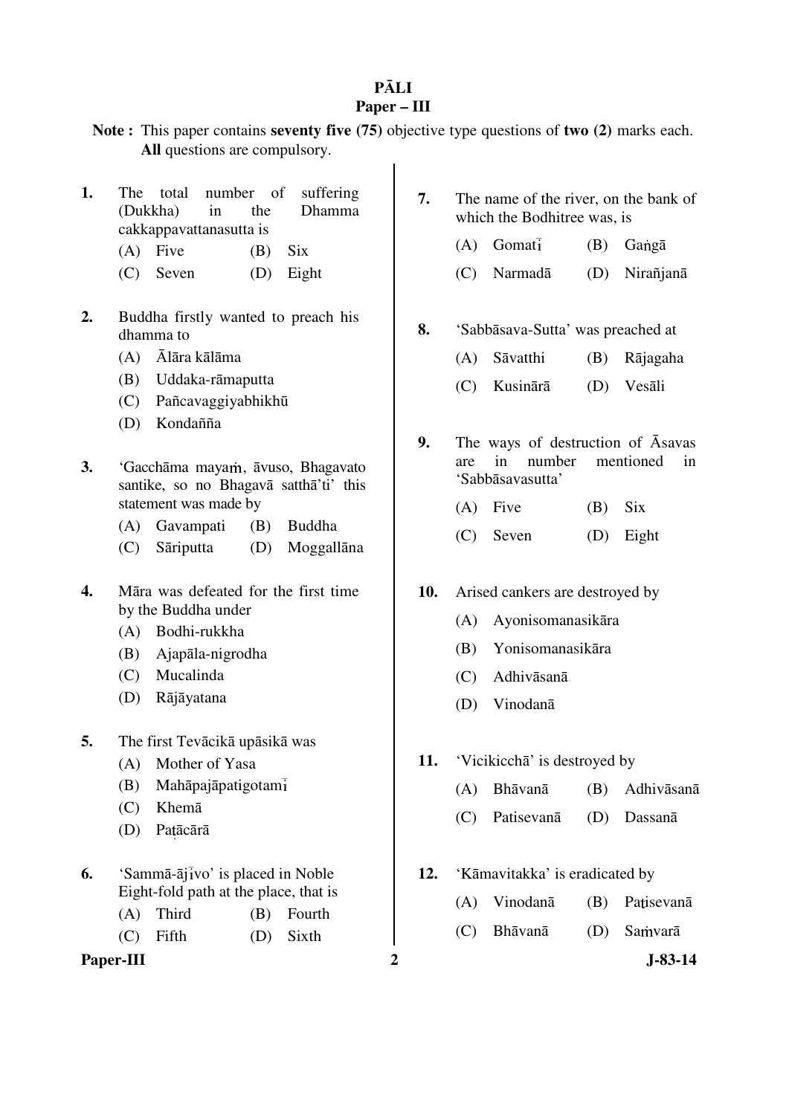### **P**Ā**LI Paper – III**

- **Note :** This paper contains **seventy five (75)** objective type questions of **two (2)** marks each. **All** questions are compulsory.
- **1.** The total number of suffering (Dukkha) in the Dhamma cakkappavattanasutta is
	- $(A)$  Five  $(B)$  Six
	- (C) Seven (D) Eight
- **2.** Buddha firstly wanted to preach his dhamma to
	- (A) Ālāra kālāma
	- (B) Uddaka-rāmaputta
	- (C) Pañcavaggiyabhikhū
	- (D) Kondañña
- **3.** 'Gacchāma mayam, āvuso, Bhagavato santike, so no Bhagavā satthā'ti' this statement was made by
	- (A) Gavampati (B) Buddha
	- (C) Sāriputta (D) Moggallāna
- **4.** Māra was defeated for the first time by the Buddha under
	- (A) Bodhi-rukkha
	- (B) Ajapāla-nigrodha
	- (C) Mucalinda
	- (D) Rājāyatana
- **5.** The first Tevācikā upāsikā was
	- (A) Mother of Yasa
	- (B) Mahāpajāpatigotam
	- (C) Khemā
	- (D) Patācārā
- **6.** 'Sammā-ājīvo' is placed in Noble Eight-fold path at the place, that is
	- (A) Third (B) Fourth
	- (C) Fifth (D) Sixth

Paper-III 2 J-83-14

- **7.** The name of the river, on the bank of which the Bodhitree was, is
	- $(A)$  Gomati  $(B)$  Ganga
	- (C) Narmadā (D) Nirañjanā
- **8.** 'Sabbāsava-Sutta' was preached at
	- (A) Sāvatthi (B) Rājagaha
	- (C) Kusinārā (D) Vesāli
- **9.** The ways of destruction of Āsavas are in number mentioned in 'Sabbāsavasutta'
	- $(A)$  Five  $(B)$  Six
	- (C) Seven (D) Eight
- **10.** Arised cankers are destroyed by
	- (A) Ayonisomanasikāra
	- (B) Yonisomanasikāra
	- (C) Adhivāsanā
	- (D) Vinodanā
- **11.** 'Vicikicchā' is destroyed by
	- (A) Bhāvanā (B) Adhivāsanā
	- (C) Patisevanā (D) Dassanā
- **12.** 'Kāmavitakka' is eradicated by
	- (A) Vinodanā (B) Patisevanā
	- (C) Bhāvanā (D) Samvarā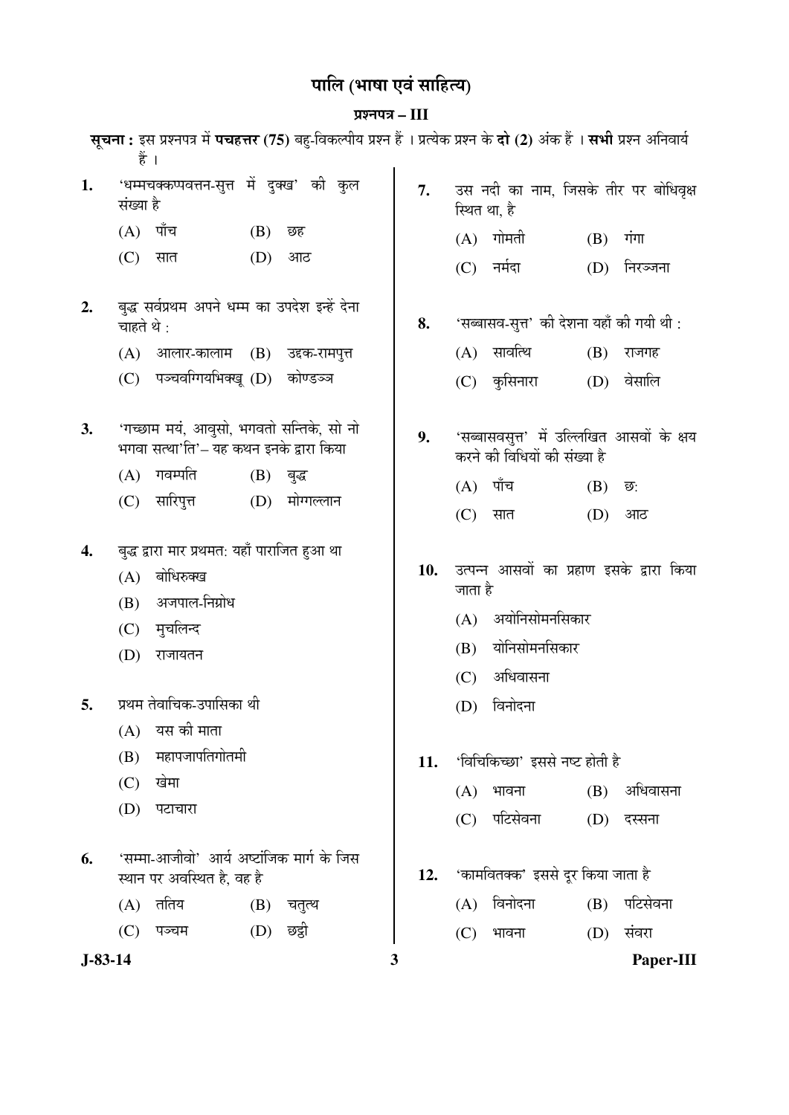# पालि (भाषा एवं साहित्य)

## ¯ÖÏ¿®Ö¯Ö¡Ö **– III**

|           | हैं ।                    |                                                                                                   |             | सूचना: इस प्रश्नपत्र में पचहत्तर (75) बहु-विकल्पीय प्रश्न हैं । प्रत्येक प्रश्न के दो (2) अंक हैं । सभी प्रश्न अनिवार्य |     |                              |                                                                                         |     |           |
|-----------|--------------------------|---------------------------------------------------------------------------------------------------|-------------|-------------------------------------------------------------------------------------------------------------------------|-----|------------------------------|-----------------------------------------------------------------------------------------|-----|-----------|
| 1.        | संख्या है                | 'धम्मचक्कप्पवत्तन-सुत्त में दुक्ख' की कुल                                                         |             |                                                                                                                         | 7.  |                              | उस नदी का नाम, जिसके तीर पर बोधिवृक्ष<br>स्थित था, है                                   |     |           |
|           | (A)                      | पाँच                                                                                              | (B)         | छह                                                                                                                      |     | (A)                          | गोमती                                                                                   | (B) | गंगा      |
|           | (C)                      | सात                                                                                               | (D)         | आठ                                                                                                                      |     | (C)                          | नर्मदा                                                                                  | (D) | निरञ्जना  |
| 2.        | चाहते थे :               | बुद्ध सर्वप्रथम अपने धम्म का उपदेश इन्हें देना                                                    |             |                                                                                                                         | 8.  |                              | 'सब्बासव-सुत्त' की देशना यहाँ की गयी थी :                                               |     |           |
|           |                          | $(A)$ आलार-कालाम $(B)$ उद्दक-रामपुत्त                                                             |             |                                                                                                                         |     |                              | $(A)$ सावत्थि                                                                           | (B) | राजगह     |
|           | (C)                      | पञ्चवग्गियभिक्खू (D) कोण्डञ्ज                                                                     |             |                                                                                                                         |     | (C)                          | कुसिनारा                                                                                | (D) | वेसालि    |
| 3.        |                          | 'गच्छाम मयं, आवुसो, भगवतो सन्तिके, सो नो<br>भगवा सत्था'ति'– यह कथन इनके द्वारा किया               |             |                                                                                                                         | 9.  |                              | 'सब्बासवसुत्त' में उल्लिखित आसवों के क्षय<br>करने की विधियों की संख्या है               |     |           |
|           | (A)                      | गवम्पति                                                                                           | (B)         | बुद्ध                                                                                                                   |     | (A)                          | पाँच                                                                                    | (B) | छ:        |
|           | (C)                      | सारिपुत्त                                                                                         | (D)         | मोग्गल्लान                                                                                                              |     | (C)                          | सात                                                                                     | (D) | आठ        |
| 4.        | (A)<br>(B)<br>(C)<br>(D) | बुद्ध द्वारा मार प्रथमत: यहाँ पाराजित हुआ था<br>बोधिरुक्ख<br>अजपाल-निग्रोध<br>मुचलिन्द<br>राजायतन |             |                                                                                                                         | 10. | जाता है<br>(A)<br>(B)<br>(C) | उत्पन्न आसवों का प्रहाण इसके द्वारा किया<br>अयोनिसोमनसिकार<br>योनिसोमनसिकार<br>अधिवासना |     |           |
| 5.        |                          | प्रथम तेवाचिक-उपासिका थी                                                                          |             |                                                                                                                         |     | (D)                          | विनोदना                                                                                 |     |           |
|           | (A)<br>(B)               | यस की माता<br>महापजापतिगोतमी                                                                      |             |                                                                                                                         | 11. |                              | 'विचिकिच्छा' इससे नष्ट होती है                                                          |     |           |
|           | (C)                      | खेमा                                                                                              |             |                                                                                                                         |     | (A)                          | भावना                                                                                   | (B) | अधिवासना  |
|           | (D)                      | पटाचारा                                                                                           |             |                                                                                                                         |     | (C)                          | पटिसेवना                                                                                | (D) | दस्सना    |
| 6.        |                          | 'सम्मा-आजीवो' आर्य अष्टांजिक मार्ग के जिस<br>स्थान पर अवस्थित है, वह है                           |             |                                                                                                                         | 12. |                              | 'कामवितक्क' इससे दूर किया जाता है                                                       |     |           |
|           | (A)                      | ततिय                                                                                              |             | (B) चतुत्थ                                                                                                              |     | (A)                          | विनोदना                                                                                 | (B) | पटिसेवना  |
|           | (C)                      | पञ्चम                                                                                             | $(D)$ छद्वी |                                                                                                                         |     | (C)                          | भावना                                                                                   | (D) | संवरा     |
| $J-83-14$ |                          |                                                                                                   |             |                                                                                                                         | 3   |                              |                                                                                         |     | Paper-III |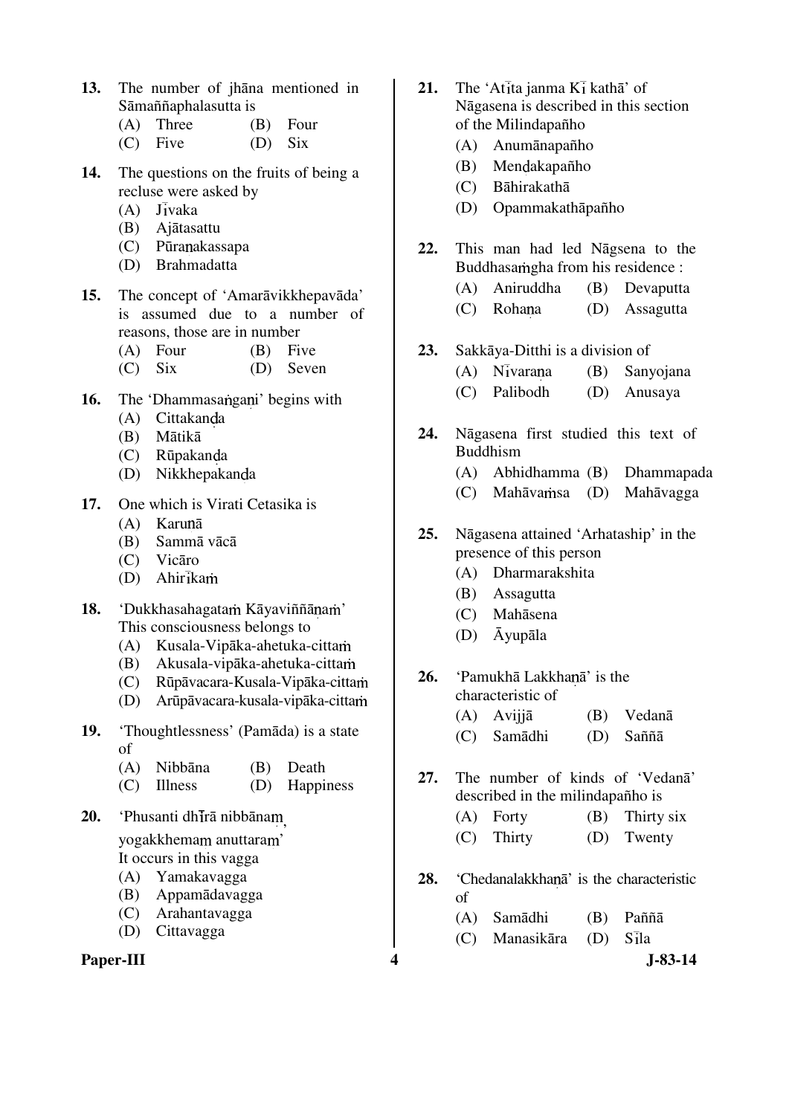**13.** The number of jhāna mentioned in Sāmaññaphalasutta is

| $(A)$ Three |           | $(B)$ Four |
|-------------|-----------|------------|
| $(C)$ Five  | $(D)$ Six |            |

- **14.** The questions on the fruits of being a recluse were asked by
	- $(A)$  Jivaka
	- (B) Ajātasattu
	- (C) Pūranakassapa
	- (D) Brahmadatta
- **15.** The concept of 'Amarāvikkhepavāda' is assumed due to a number of reasons, those are in number
	- (A) Four (B) Five
	- (C) Six (D) Seven
- **16.** The 'Dhammasangani' begins with
	- $(A)$  Cittakanda
	- (B) Mātikā
	- (C) Rūpakanda
	- (D) Nikkhepakanda
- **17.** One which is Virati Cetasika is
	- (A) Karunā
	- (B) Sammā vācā
	- (C) Vicāro
	- $(D)$  Ahirikam
- 18. 'Dukkhasahagatam Kāyaviññānam' This consciousness belongs to
	- (A) Kusala-Vipāka-ahetuka-citta
	- (B) Akusala-vipāka-ahetuka-citta
	- (C) Rūpāvacara-Kusala-Vipāka-citta
	- (D) Arūpāvacara-kusala-vipāka-citta
- **19.** 'Thoughtlessness' (Pamāda) is a state of
	- (A) Nibbāna (B) Death
	- (C) Illness (D) Happiness
- 20. 'Phusanti dh**īrā** nibbānam

yogakkhemam anuttaram'

- It occurs in this vagga
- (A) Yamakavagga
- (B) Appamādavagga
- (C) Arahantavagga
- (D) Cittavagga



- **21.** The 'Atita janma  $K_1$  katha' of Nāgasena is described in this section of the Milindapañho
	- (A) Anumānapañho
	- (B) Mendakapañho
	- (C) Bāhirakathā
	- (D) Opammakathāpañho
- **22.** This man had led Nāgsena to the Buddhasa mg hali from his residence :
	- (A) Aniruddha (B) Devaputta
	- (C) Rohana (D) Assagutta
- **23.** Sakkāya-Ditthi is a division of
	- $(A)$  N $\overline{\text{v}}$ varana  $(B)$  Sanyojana
	- (C) Palibodh (D) Anusaya
- **24.** Nāgasena first studied this text of Buddhism
	- (A) Abhidhamma (B) Dhammapada
	- (C) Mahāvamsa (D) Mahāvagga

**25.** Nāgasena attained 'Arhataship' in the presence of this person

- (A) Dharmarakshita
- (B) Assagutta
- (C) Mahāsena
- (D) Āyupāla
- 26. 'Pamukhā Lakkhanā' is the characteristic of
	- (A) Avijjā (B) Vedanā
	- (C) Samādhi (D) Saññā
- **27.** The number of kinds of 'Vedanā' described in the milindapañho is
	- (A) Forty (B) Thirty six
		- (C) Thirty (D) Twenty
- 28. 'Chedanalakkhana<sup>'</sup> is the characteristic of
	- (A) Samādhi (B) Paññā
	- $(C)$  Manasikāra  $(D)$  Sila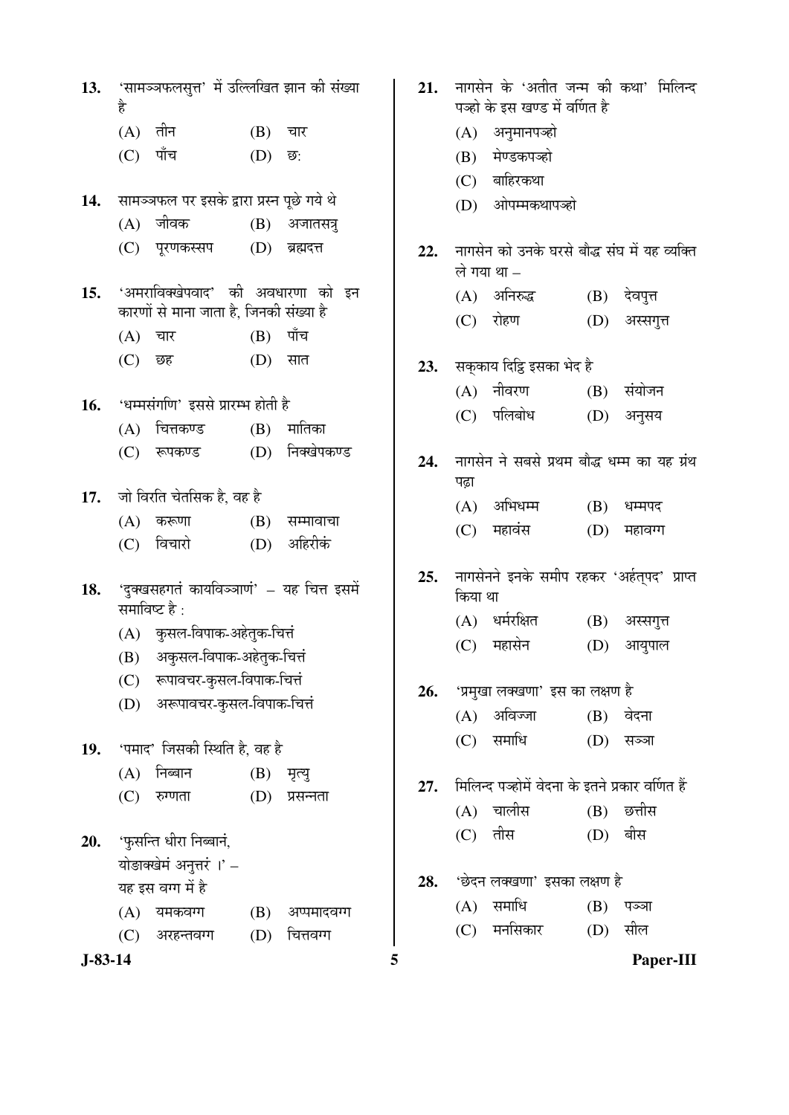| 13. | है         | 'सामञ्जफलसुत्त' में उल्लिखित झान की संख्या                                       |            |                  |
|-----|------------|----------------------------------------------------------------------------------|------------|------------------|
|     | (A) तीन    |                                                                                  | (B) चार    |                  |
|     | $(C)$ पाँच |                                                                                  | (D) ন্ত:   |                  |
| 14. |            | सामञ्जफल पर इसके द्वारा प्रस्न पूछे गये थे                                       |            |                  |
|     |            | (A) जीवक                                                                         |            | (B) अजातसत्र     |
|     |            | (C) पूरणकस्सप                                                                    |            | $(D)$ ब्रह्मदत्त |
|     |            | 15. 'अमराविक्खेपवाद' की अवधारणा को इन<br>कारणों से माना जाता है, जिनकी संख्या है |            |                  |
|     | (A) चार    |                                                                                  | $(B)$ पाँच |                  |
|     |            | (C) छह                                                                           | (D) सात    |                  |
|     |            | 16. 'धम्मसंगणि' इससे प्रारम्भ होती है                                            |            |                  |
|     |            | (A) चित्तकण्ड                                                                    |            | $(B)$ मातिका     |
|     |            | (C) रूपकण्ड                                                                      |            | (D) निक्खेपकण्ड  |
|     |            | 17. जो विरति चेतसिक है, वह है                                                    |            |                  |
|     |            | (A) करूणा                                                                        |            | (B) सम्मावाचा    |
|     |            | (C) विचारो                                                                       |            | (D) अहिरीकं      |
|     |            | 18. 'दुक्खसहगतं कायविञ्ञाणं' – यह चित्त इसमें<br>समाविष्ट है :                   |            |                  |
|     |            | (A) कुसल-विपाक-अहेतुक-चित्तं                                                     |            |                  |
|     |            | (B) अकुसल-विपाक-अहेतुक-चित्तं                                                    |            |                  |
|     |            | (C) रूपावचर-कुसल-विपाक-चित्तं                                                    |            |                  |
|     |            | (D) अरूपावचर-कुसल-विपाक-चित्तं                                                   |            |                  |
|     |            | 19. 'पमाद' जिसकी स्थिति है, वह है                                                |            |                  |
|     |            | (A) निब्बान                                                                      | (B) मृत्यु |                  |
|     |            | (C) रुग्णता                                                                      |            | (D) प्रसन्नता    |
|     |            | 20. 'फुसन्ति धीरा निब्बानं,                                                      |            |                  |
|     |            | योङाक्खेमं अनुत्तरं ।' –                                                         |            |                  |
|     |            | यह इस वग्ग में है                                                                |            |                  |
|     |            | (A) यमकवग्ग (B) अप्पमादवग्ग                                                      |            |                  |
|     |            | (C) अरहन्तवग्ग                                                                   |            | $(D)$ वित्तवग्ग  |
|     |            |                                                                                  |            |                  |

|           | है  | 13. 'सामञ्ञफलसुत्त' में उल्लिखित झान की संख्या |     |                       | 21. |         | नागसेन के 'अतीत जन्म की कथा' मिलिन्द<br>पञ्हो के इस खण्ड में वर्णित है |     |              |           |
|-----------|-----|------------------------------------------------|-----|-----------------------|-----|---------|------------------------------------------------------------------------|-----|--------------|-----------|
|           | (A) | तीन                                            | (B) | चार                   |     | (A)     | अनुमानपञ्हो                                                            |     |              |           |
|           | (C) | पाँच                                           | (D) | छ <del>.</del>        |     | (B)     | मेण्डकपञ्हो                                                            |     |              |           |
|           |     |                                                |     |                       |     | (C)     | बाहिरकथा                                                               |     |              |           |
| 14.       |     | सामञ्जफल पर इसके द्वारा प्रस्न पूछे गये थे     |     |                       |     | (D)     | ओपम्मकथापञ्हो                                                          |     |              |           |
|           | (A) | जीवक                                           | (B) | अजातसत्र              |     |         |                                                                        |     |              |           |
|           | (C) | पूरणकस्सप                                      | (D) | ब्रह्मदत्त            | 22. |         | नागसेन को उनके घरसे बौद्ध संघ में यह व्यक्ति<br>ले गया था –            |     |              |           |
| 15.       |     | 'अमराविक्खेपवाद' की अवधारणा को इन              |     |                       |     |         | (A) अनिरुद्ध                                                           |     | (B) देवपुत्त |           |
|           |     | कारणों से माना जाता है, जिनकी संख्या है        |     |                       |     | (C)     | रोहण                                                                   | (D) | अस्सगुत्त    |           |
|           | (A) | चार                                            | (B) | पाँच                  |     |         |                                                                        |     |              |           |
|           | (C) | छह                                             | (D) | सात                   | 23. |         | सक्काय दिट्ठि इसका भेद है                                              |     |              |           |
|           |     |                                                |     |                       |     | (A)     | नीवरण                                                                  | (B) | संयोजन       |           |
| 16.       |     | 'धम्मसंगणि' इससे प्रारम्भ होती है              |     |                       |     | (C)     | पलिबोध                                                                 | (D) | अनुसय        |           |
|           | (A) | चित्तकण्ड                                      | (B) | मातिका<br>निक्खेपकण्ड |     |         |                                                                        |     |              |           |
|           | (C) | रूपकण्ड                                        | (D) |                       | 24. |         | नागसेन ने सबसे प्रथम बौद्ध धम्म का यह ग्रंथ                            |     |              |           |
| 17.       |     | जो विरति चेतसिक है, वह है                      |     |                       |     | पढ़ा    |                                                                        |     |              |           |
|           | (A) | करूणा                                          | (B) | सम्मावाचा             |     | (A)     | अभिधम्म                                                                | (B) | धम्मपद       |           |
|           | (C) | विचारो                                         | (D) | अहिरीकं               |     | (C)     | महावंस                                                                 | (D) | महावग्ग      |           |
|           |     |                                                |     |                       | 25. |         | नागसेनने इनके समीप रहकर 'अर्हत्पद' प्राप्त                             |     |              |           |
| 18.       |     | 'दुक्खसहगतं कायविञ्ञाणं' - यह चित्त इसमें      |     |                       |     | किया था |                                                                        |     |              |           |
|           |     | समाविष्ट है :                                  |     |                       |     |         | (A) धर्मरक्षित                                                         | (B) | अस्सगुत्त    |           |
|           |     | (A) कुसल-विपाक-अहेतुक-चित्तं                   |     |                       |     | (C)     | महासेन                                                                 | (D) | आयुपाल       |           |
|           |     | (B) अकुसल-विपाक-अहेतुक-चित्तं                  |     |                       |     |         |                                                                        |     |              |           |
|           | (C) | रूपावचर-कुसल-विपाक-चित्तं                      |     |                       | 26. |         | 'प्रमुखा लक्खणा' इस का लक्षण है                                        |     |              |           |
|           |     | (D) अरूपावचर-कुसल-विपाक-चित्तं                 |     |                       |     | (A)     | अविज्जा                                                                |     | (B) वेदना    |           |
| 19.       |     | 'पमाद' जिसकी स्थिति है, वह है                  |     |                       |     | (C)     | समाधि                                                                  | (D) | सञ्जा        |           |
|           | (A) | निब्बान                                        | (B) | मृत्यु                |     |         |                                                                        |     |              |           |
|           | (C) | रुग्णता                                        | (D) | प्रसन्नता             | 27. |         | मिलिन्द पञ्होमें वेदना के इतने प्रकार वर्णित हैं                       |     |              |           |
|           |     |                                                |     |                       |     |         | (A) चालीस                                                              |     | $(B)$ छत्तीस |           |
| 20.       |     | 'फुसन्ति धीरा निब्बानं,                        |     |                       |     |         | (C) तीस                                                                | (D) | बीस          |           |
|           |     | योङाक्खेमं अनुत्तरं ।' -                       |     |                       |     |         |                                                                        |     |              |           |
|           |     | यह इस वग्ग में है                              |     |                       | 28. |         | 'छेदन लक्खणा' इसका लक्षण है                                            |     |              |           |
|           | (A) | यमकवग्ग                                        | (B) | अप्पमादवग्ग           |     |         | (A) समाधि                                                              | (B) | पञ्जा        |           |
|           | (C) | अरहन्तवग्ग                                     | (D) | चित्तवग्ग             |     | (C)     | मनसिकार                                                                | (D) | सील          |           |
| $J-83-14$ |     |                                                |     |                       | 5   |         |                                                                        |     |              | Paper-III |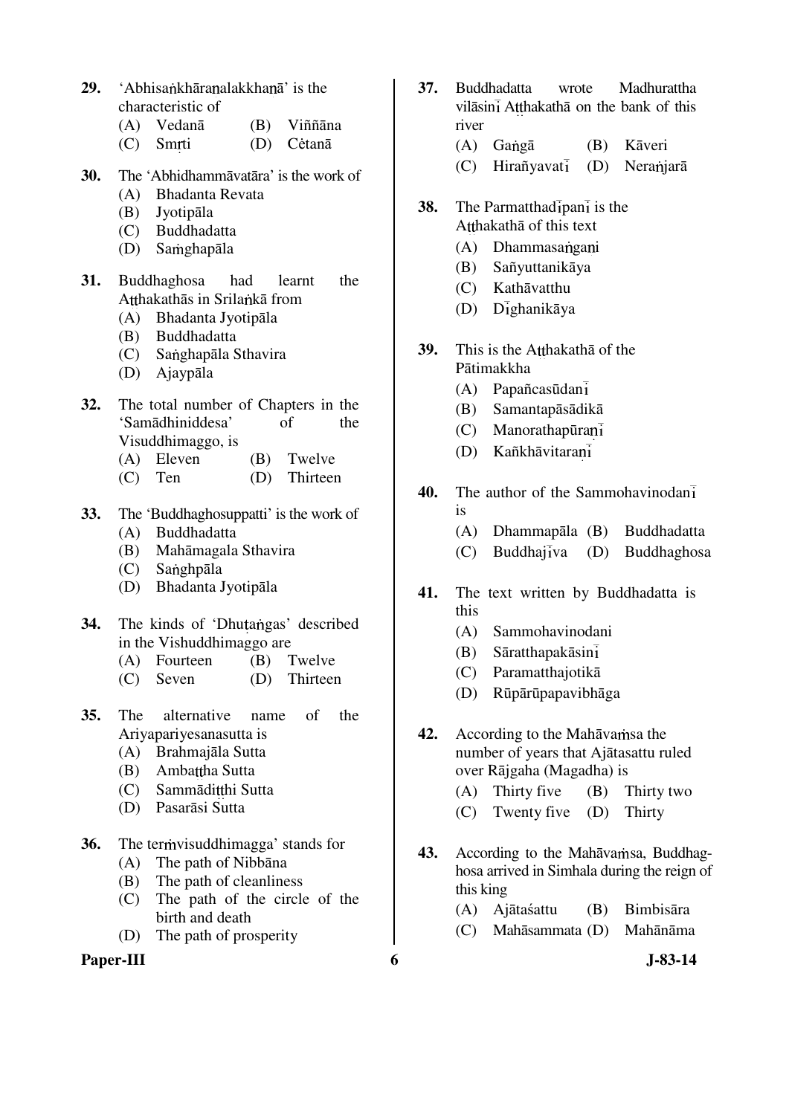- **29.** 'Abhisankhāra nalakkha nā' is the characteristic of
	- (A) Vedanā (B) Viññāna
	- (C) Smrti (D) Cėtanā
- **30.** The 'Abhidhammāvatāra' is the work of
	- (A) Bhadanta Revata
	- (B) Jyotipāla
	- (C) Buddhadatta
	- (D) Samghapāla
- **31.** Buddhaghosa had learnt the Atthakathās in Srilankā from
	- (A) Bhadanta Jyotipāla
	- (B) Buddhadatta
	- (C) Sanghapāla Sthavira
	- (D) Ajaypāla
- **32.** The total number of Chapters in the 'Samādhiniddesa' of the Visuddhimaggo, is
	- (A) Eleven (B) Twelve
	- (C) Ten (D) Thirteen
- **33.** The 'Buddhaghosuppatti' is the work of
	- (A) Buddhadatta
	- (B) Mahāmagala Sthavira
	- $(C)$  Sanghpāla
	- (D) Bhadanta Jyotipāla
- **34.** The kinds of 'Dhutangas' described in the Vishuddhimaggo are
	- (A) Fourteen (B) Twelve
	- (C) Seven (D) Thirteen
- **35.** The alternative name of the Ariyapariyesanasutta is
	- (A) Brahmajāla Sutta
	- (B) Ambattha Sutta
	- (C) Sammāditthi Sutta
	- (D) Pasarāsi Sutta
- **36.** The termvisuddhimagga' stands for
	- (A) The path of Nibbāna
	- (B) The path of cleanliness
	- (C) The path of the circle of the birth and death
	- (D) The path of prosperity

#### **Paper-III 6** J-83-14

- **37.** Buddhadatta wrote Madhurattha vilāsinī Atthakathā on the bank of this river
	- (A) Gangā (B) Kāveri
	- $(C)$  Hirañyavati (D) Neranjarā
- **38.** The Parmatthad ipan i is the Atthakatha of this text
	- (A) Dhammasangani
	- (B) Sañyuttanikāya
	- (C) Kathāvatthu
	- $(D)$   $D_{1}$ ghanikāya
- **39.** This is the Atthakatha of the Pātimakkha
	- (A) Papañcasūdan
	- (B) Samantapāsādikā
	- (C) Manorathapūra
	- (D) Kañkhāvitara
- **40.** The author of the Sammohavinodan is
	- (A) Dhammapāla (B) Buddhadatta
	- $(C)$  Buddhajiva  $(D)$  Buddhaghosa
- **41.** The text written by Buddhadatta is this
	- (A) Sammohavinodani
	- (B) Sāratthapakāsin
	- (C) Paramatthajotikā
	- (D) Rūpārūpapavibhāga
- **42.** According to the Mahāvamsa the number of years that Ajātasattu ruled over Rājgaha (Magadha) is
	- (A) Thirty five (B) Thirty two
	- (C) Twenty five (D) Thirty
- 43. According to the Mahāvamsa, Buddhaghosa arrived in Simhala during the reign of this king
	- (A) Ajātaśattu (B) Bimbisāra
	- (C) Mahāsammata (D) Mahānāma
		-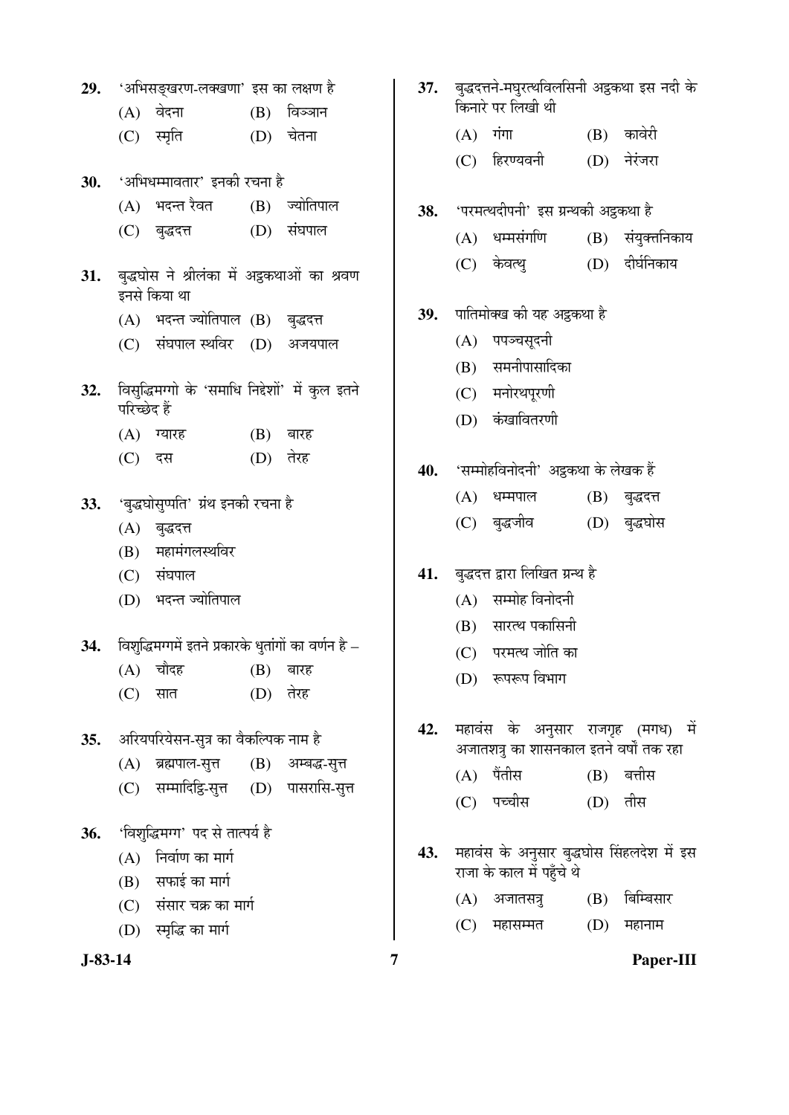|     | 29. 'अभिसङ्खरण-लक्खणा' इस का लक्षण है |                                                                 |  |                   |     |  |  |
|-----|---------------------------------------|-----------------------------------------------------------------|--|-------------------|-----|--|--|
|     |                                       | (A) वेदना                                                       |  | $(B)$ विञ्जान     |     |  |  |
|     |                                       | (C) स्मृति                                                      |  | (D) चेतना         |     |  |  |
|     |                                       | 30. 'अभिधम्मावतार' इनकी रचना है                                 |  |                   |     |  |  |
|     |                                       | (A) भदन्त रैवत (B) ज्योतिपाल                                    |  |                   | 38. |  |  |
|     |                                       | (C) बुद्धदत्त (D) संघपाल                                        |  |                   |     |  |  |
|     |                                       | 31. बुद्धघोस ने श्रीलंका में अट्ठकथाओं का श्रवण<br>इनसे किया था |  |                   |     |  |  |
|     |                                       | (A) भदन्त ज्योतिपाल (B) बुद्धदत्त                               |  |                   | 39. |  |  |
|     |                                       | (C) संघपाल स्थविर (D) अजयपाल                                    |  |                   |     |  |  |
| 32. | परिच्छेद हैं                          | विसुद्धिमग्गो के 'समाधि निद्देशों' में कुल इतने                 |  |                   |     |  |  |
|     |                                       | (A) ग्यारह                                                      |  | $(B)$ बारह        |     |  |  |
|     |                                       | (C) दस                                                          |  | (D) तेरह          | 40. |  |  |
|     |                                       | 33. 'बुद्धघोसुप्पति' ग्रंथ इनकी रचना है                         |  |                   |     |  |  |
|     |                                       | (A) बुद्धदत्त                                                   |  |                   |     |  |  |
|     |                                       | (B) महामंगलस्थविर                                               |  |                   |     |  |  |
|     |                                       | (C) संघपाल                                                      |  |                   | 41. |  |  |
|     |                                       | (D) भदन्त ज्योतिपाल                                             |  |                   |     |  |  |
| 34. |                                       | विशुद्धिमग्गमें इतने प्रकारके धुतांगों का वर्णन है –            |  |                   |     |  |  |
|     |                                       | (A) चौदह                                                        |  | (B) बारह          |     |  |  |
|     |                                       | $(C)$ सात                                                       |  | (D) तेरह          |     |  |  |
| 35. |                                       | अरियपरियेसन-सुत्र का वैकल्पिक नाम है                            |  |                   | 42. |  |  |
|     |                                       | (A) ब्रह्मपाल-सुत्त                                             |  | (B) अम्बद्ध-सुत्त |     |  |  |
|     |                                       | (C) सम्मादिट्टि-सुत्त (D) पासरासि-सुत्त                         |  |                   |     |  |  |
| 36. |                                       | 'विशुद्धिमग्ग' पद से तात्पर्य है                                |  |                   |     |  |  |
|     |                                       | $(A)$ निर्वाण का मार्ग                                          |  |                   | 43. |  |  |
|     |                                       | (B) सफाई का मार्ग                                               |  |                   |     |  |  |
|     |                                       | (C) संसार चक्र का मार्ग                                         |  |                   |     |  |  |
|     |                                       | (D) स्मृद्धि का मार्ग                                           |  |                   |     |  |  |

- बद्धदत्तने-मघुरत्थविलसिनी अट्ठकथा इस नदी के किनारे पर लिखी थी
	- $(A)$  गंगा  $(B)$  कावेरी
	- (C) हिरण्यवनी (D) नेरंजरा
- 'परमत्थदीपनी' इस ग्रन्थकी अट्ठकथा है
	- (A) धम्मसंगणि (B) संयुक्तनिकाय
	- (C) केवत्थु (D) दीर्घनिकाय
- <u>पातिमोक्ख की यह अट्ठकथा है</u>
	- (A) पपञ्चसूदनी
	- (B) समनीपासादिका
	- (C) मनोरथपूरणी
	- (D) कंखावितरणी
- 'सम्मोहविनोदनी' अट्ठकथा के लेखक हैं
	- (A) धम्मपाल (B) बुद्धदत्त
	- (C) बुद्धजीव (D) बुद्धघोस
- बुद्धदत्त द्वारा लिखित ग्रन्थ है
	- $(A)$  सम्मोह विनोदनी
	- (B) सारत्थ पकासिनी
	- (C) परमत्थ जोति का
	- (D) रूपरूप विभाग
- महावंस के अनुसार राजगृह (मगध) में अजातशत्र का शासनकाल इतने वर्षों तक रहा
	- $(A)$  पैंतीस  $(B)$  बत्तीस
	- (C) पच्चीस (D) तीस
- महावंस के अनुसार बुद्धघोस सिंहलदेश में इस राजा के काल में पहुँचे थे
	- (A) अजातसत्रु (B) बिम्बिसार
	- $(C)$  महासम्मत  $(D)$  महानाम

**J-83-14 7 Paper-III**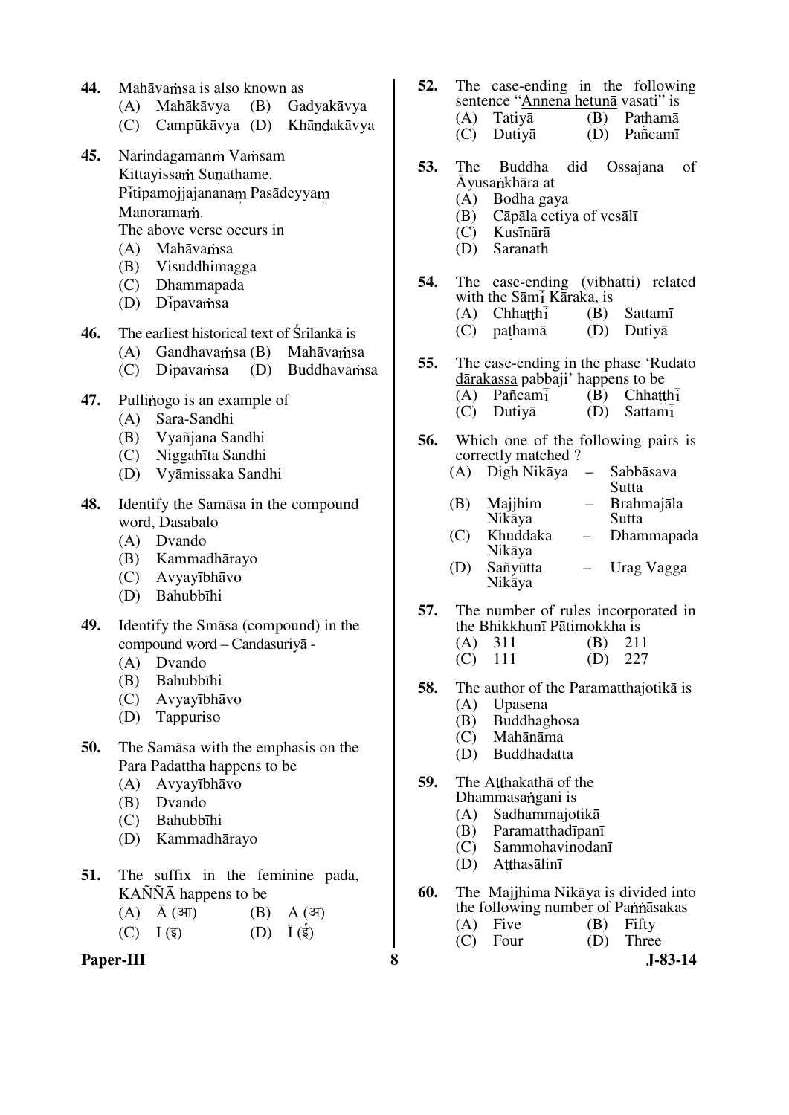- 44. Mahāvamsa is also known as
	- (A) Mahākāvya (B) Gadyakāvya
	- (C) Campūkāvya (D) Khāndakāvya
- 45. Narindagaman wamsam Kittayissam Sunathame. Pitipamojjajananam Pasādeyyam Manoramam. The above verse occurs in
	- (A) Mahāvamsa
	- (B) Visuddhimagga
	- (C) Dhammapada
	- $(D)$  Dipavamsa

**46.** The earliest historical text of Śrilankā is

- $(A)$  Gandhavamsa  $(B)$  Mahāvamsa
- $(C)$  Dipavamsa  $(D)$  Buddhavamsa
- 47. Pullinogo is an example of
	- (A) Sara-Sandhi
	- (B) Vyañjana Sandhi
	- (C) Niggahīta Sandhi
	- (D) Vyāmissaka Sandhi
- **48.** Identify the Samāsa in the compound word, Dasabalo
	- (A) Dvando
	- (B) Kammadhārayo
	- (C) Avyayībhāvo
	- (D) Bahubbīhi
- **49.** Identify the Smāsa (compound) in the compound word – Candasuriyā -
	- (A) Dvando
	- (B) Bahubbīhi
	- (C) Avyayībhāvo
	- (D) Tappuriso
- **50.** The Samāsa with the emphasis on the Para Padattha happens to be
	- (A) Avyayībhāvo
	- (B) Dvando
	- (C) Bahubbīhi
	- (D) Kammadhārayo
- **51.** The suffix in the feminine pada, KAÑÑĀ happens to be
	- $(A)$   $\bar{A}$  ( $3\bar{I}$ )  $(B)$   $A$  ( $3\bar{I}$ )
	- $(C) \quad I \left( \overline{\xi} \right) \qquad \qquad (D) \quad \overline{I} \left( \overline{\xi} \right)$



- **52.** The case-ending in the following sentence "Annena hetunā vasati" is  $(A)$  Tatiya  $(B)$  Pathama
	- (C) Dutiyā (D) Pañcamī
- **53.** The Buddha did Ossajana of Āyusankhāra at
	- (A) Bodha gaya
	- (B) Cāpāla cetiya of vesālī
	- Kusīnārā
	- (D) Saranath
- **54.** The case-ending (vibhatti) related with the Sāmi Kāraka, is<br>(A) Chhatthi (B) (B) Sattamī
	- (C) pathamā (D) Dutiyā
	-
- **55.** The case-ending in the phase 'Rudato dārakassa pabbaji' happens to be
	- (A) Pañcami (B) Chhatthi (C) Dutiva (D) Sattami (C) Dutiyā (D) Sattam
- **56.** Which one of the following pairs is correctly matched ?
	- (A) Digh Nikāya Sabbāsava Sutta
	- (B) Majjhim Nikāya – Brahmajāla Sutta
	- (C) Khuddaka Nikāya – Dhammapada
	- (D) Sañyūtta Nikāya – Urag Vagga
- **57.** The number of rules incorporated in the Bhikkhunī Pātimokkha is
	- (A) 311 (B) 211<br>(C) 111 (D) 227  $(D) 227$
	-
- **58.** The author of the Paramatthajotikā is
	- (A) Upasena
	- (B) Buddhaghosa
	- (C) Mahānāma
	- (D) Buddhadatta
- **59.** The Atthakatha of the Dhammasa ngani is
	- (A) Sadhammajotikā
	- (B) Paramatthadīpanī
	- (C) Sammohavinodanī
	- Atthasālinī
- **60.** The Majjhima Nikāya is divided into the following number of Pannasakas
	- (A) Five (B) Fifty
	- (C) Four (D) Three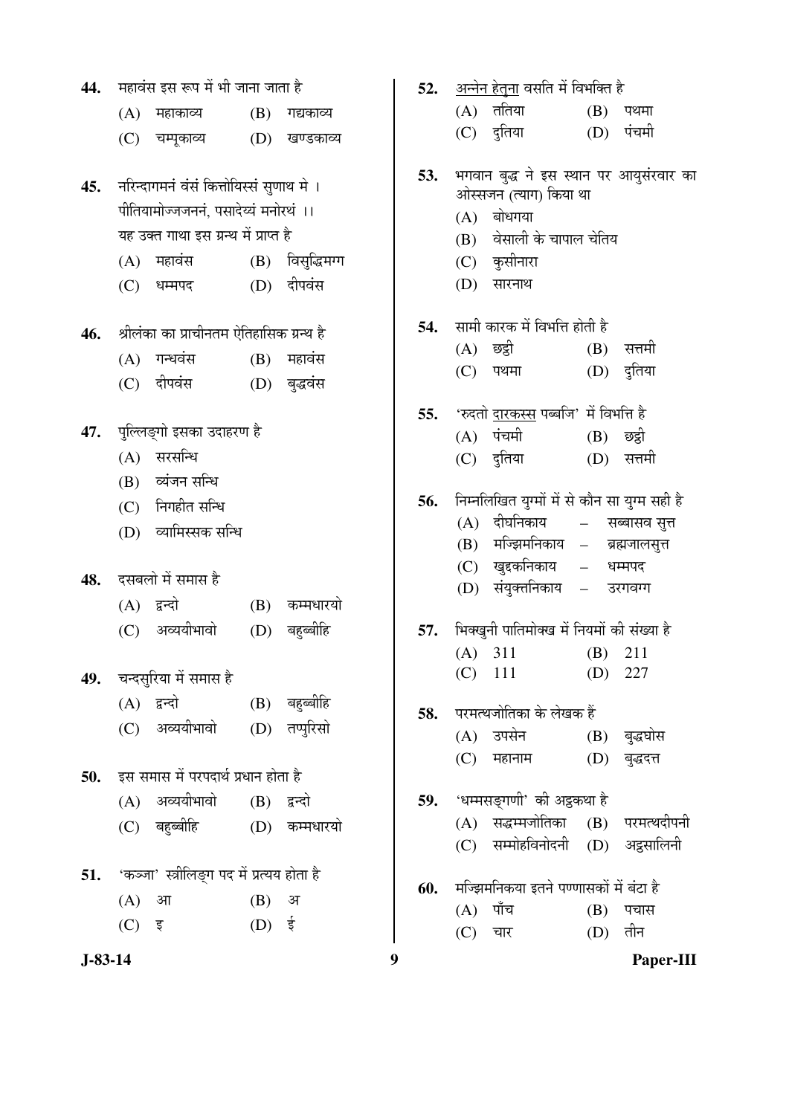| 44.       |            | महावंस इस रूप में भी जाना जाता है                                                |                   |                        | 52. |            | अन्नेन हेतुना वसति में विभक्ति है                                 |               |                                 |
|-----------|------------|----------------------------------------------------------------------------------|-------------------|------------------------|-----|------------|-------------------------------------------------------------------|---------------|---------------------------------|
|           | (A)        | महाकाव्य                                                                         | (B)               | गद्यकाव्य              |     | (A)        | ततिया                                                             | (B)           | पथमा                            |
|           | (C)        | चम्पूकाव्य                                                                       | (D)               | खण्डकाव्य              |     | (C)        | दुतिया                                                            | (D)           | पंचमी                           |
| 45.       |            | नरिन्दागमनं वंसं कित्तोयिस्सं सुणाथ मे ।<br>पीतियामोज्जजननं, पसादेय्यं मनोरथं ।। |                   |                        | 53. |            | भगवान बुद्ध ने इस स्थान पर आयुसंरवार का<br>ओस्सजन (त्याग) किया था |               |                                 |
|           |            | यह उक्त गाथा इस ग्रन्थ में प्राप्त है                                            |                   |                        |     | (A)<br>(B) | बोधगया<br>वेसाली के चापाल चेतिय                                   |               |                                 |
|           | (A)        | महावंस                                                                           |                   | (B) विसुद्धिमग्ग       |     | (C)        | कुसीनारा                                                          |               |                                 |
|           | (C)        | धम्मपद                                                                           |                   | (D) दीपवंस             |     | (D)        | सारनाथ                                                            |               |                                 |
| 46.       |            | श्रीलंका का प्राचीनतम ऐतिहासिक ग्रन्थ है                                         |                   |                        | 54. |            | सामी कारक में विभत्ति होती है                                     |               |                                 |
|           |            |                                                                                  |                   |                        |     | (A)        | छट्ठी                                                             | (B)           | सत्तमी                          |
|           | (A)<br>(C) | गन्धवंस<br>दीपवंस                                                                | (B)               | महावंस<br>(D) बुद्धवंस |     | (C)        | पथमा                                                              | (D)           | दुतिया                          |
|           |            |                                                                                  |                   |                        | 55. |            | 'रुदतो <u>दारकस्स</u> पब्बजि' में विभत्ति है                      |               |                                 |
| 47.       |            | पुल्लिङ्गो इसका उदाहरण है                                                        |                   |                        |     | (A)        | पंचमी                                                             | (B)           | छट्ठी                           |
|           | (A)        | सरसन्धि                                                                          |                   |                        |     | (C)        | दुतिया                                                            | (D)           | सत्तमी                          |
|           | (B)        | व्यंजन सन्धि                                                                     |                   |                        |     |            |                                                                   |               |                                 |
|           |            | $(C)$ निगहीत सन्धि                                                               |                   |                        | 56. |            | निम्नलिखित युग्मों में से कौन सा युग्म सही है                     |               |                                 |
|           | (D)        | व्यामिस्सक सन्धि                                                                 |                   |                        |     | (A)<br>(B) | दीघनिकाय<br>मज्झिमनिकाय –                                         | $\frac{1}{2}$ | सब्बासव सूत्त<br>ब्रह्मजालसूत्त |
|           |            |                                                                                  |                   |                        |     | (C)        | खुद्दकनिकाय                                                       | $\equiv$      | धम्मपद                          |
| 48.       |            | दसबलो में समास है                                                                |                   |                        |     | (D)        | संयुक्तनिकाय –                                                    |               | उरगवग्ग                         |
|           |            | $(A)$ द्वन्दो                                                                    | (B)               | कम्मधारयो              |     |            |                                                                   |               |                                 |
|           | (C)        | अव्ययीभावो                                                                       | (D)               | बहुब्बीहि              | 57. |            | भिक्खुनी पातिमोक्ख में नियमों की संख्या है                        |               |                                 |
|           |            |                                                                                  |                   |                        |     |            | $(A)$ 311                                                         | (B)           | 211                             |
| 49.       |            | चन्दसुरिया में समास है                                                           |                   |                        |     |            | $(C)$ 111                                                         | (D)           | 227                             |
|           |            | (A) द्वन्दो                                                                      |                   | (B) बहुब्बीहि          | 58. |            | परमत्थजोतिका के लेखक हैं                                          |               |                                 |
|           | (C)        | अव्ययीभावो                                                                       |                   | (D) तप्पुरिसो          |     |            | (A) उपसेन                                                         | (B)           | बुद्धघोस                        |
|           |            |                                                                                  |                   |                        |     | (C)        | महानाम                                                            | (D)           | बुद्धदत्त                       |
| 50.       |            | इस समास में परपदार्थ प्रधान होता है                                              |                   |                        |     |            |                                                                   |               |                                 |
|           | (A)        | अव्ययीभावो                                                                       | (B)               | द्वन्दो                | 59. |            | 'धम्मसङ्गणी' की अट्ठकथा है                                        |               |                                 |
|           | (C)        | बहुब्बीहि                                                                        | (D)               | कम्मधारयो              |     | (C)        | (A) सद्धम्मजोतिका<br>सम्मोहविनोदनी (D)                            | (B)           | परमत्थदीपनी<br>अद्रसालिनी       |
| 51.       |            | 'कञ्जा' स्त्रीलिङ्ग पद में प्रत्यय होता है                                       |                   |                        |     |            |                                                                   |               |                                 |
|           | (A)        | आ                                                                                | (B)               | अ                      | 60. |            | मज्झिमनिकया इतने पण्णासकों में बंटा है                            |               |                                 |
|           | (C)        | इ                                                                                | $(D)$ $\dot{\xi}$ |                        |     | (A)        | पाँच                                                              | (B)           | पचास<br>तीन                     |
|           |            |                                                                                  |                   |                        |     | (C)        | चार                                                               | (D)           |                                 |
| $J-83-14$ |            |                                                                                  |                   |                        | 9   |            |                                                                   |               | Paper-III                       |

|     | (A) ततिया                                                                       |           | (B) पथमा        |
|-----|---------------------------------------------------------------------------------|-----------|-----------------|
|     | (C) दुतिया                                                                      |           | (D) पंचमी       |
| 53. | भगवान बुद्ध ने इस स्थान पर आयुसंरवार का<br>ओस्सजन (त्याग) किया था<br>(A) बोधगया |           |                 |
|     | (B) वेसाली के चापाल चेतिय                                                       |           |                 |
|     | (C) कुसीनारा                                                                    |           |                 |
|     | (D) सारनाथ                                                                      |           |                 |
|     | 54. सामी कारक में विभत्ति होती है                                               |           |                 |
|     | (A) छद्वी                                                                       |           | (B) सत्तमी      |
|     | (C) पथमा                                                                        |           | (D) दुतिया      |
|     | 55. 'रुदतो <u>दारकस्स</u> पब्बजि' में विभत्ति है                                |           |                 |
|     | (A) पंचमी (B) छद्वी                                                             |           |                 |
|     | (C) दुतिया                                                                      |           | (D) सत्तमी      |
|     | 56. निम्नलिखित युग्मों में से कौन सा युग्म सही है                               |           |                 |
|     | (A) दीघनिकाय                                                                    |           | – सब्बासव सुत्त |
|     | (B) मज्झिमनिकाय – ब्रह्मजालसुत्त                                                |           |                 |
|     | (C) खुद्दकनिकाय – धम्मपद                                                        |           |                 |
|     | (D) संयुक्तनिकाय – उरगवग्ग                                                      |           |                 |
|     | 57. भिक्खुनी पातिमोक्ख में नियमों की संख्या है                                  |           |                 |
|     | $(A)$ 311                                                                       |           | $(B)$ 211       |
|     | $(C)$ 111                                                                       |           | $(D)$ 227       |
|     | 58. परमत्थजोतिका के लेखक हैं                                                    |           |                 |
|     | (A) उपसेन                                                                       |           | (B) बुद्धघोस    |
|     | (C) महानाम                                                                      |           | (D) बुद्धदत्त   |
|     | 59. 'धम्मसङ्गणी' की अट्ठकथा है                                                  |           |                 |
|     | (A) सद्धम्मजोतिका (B) परमत्थदीपनी                                               |           |                 |
|     | (C) सम्मोहविनोदनी (D) अट्ठसालिनी                                                |           |                 |
|     | 60. मज्झिमनिकया इतने पण्णासकों में बंटा है                                      |           |                 |
|     | $(A)$ पाँच                                                                      |           | (B) पचास        |
|     | (C) चार                                                                         | $(D)$ तीन |                 |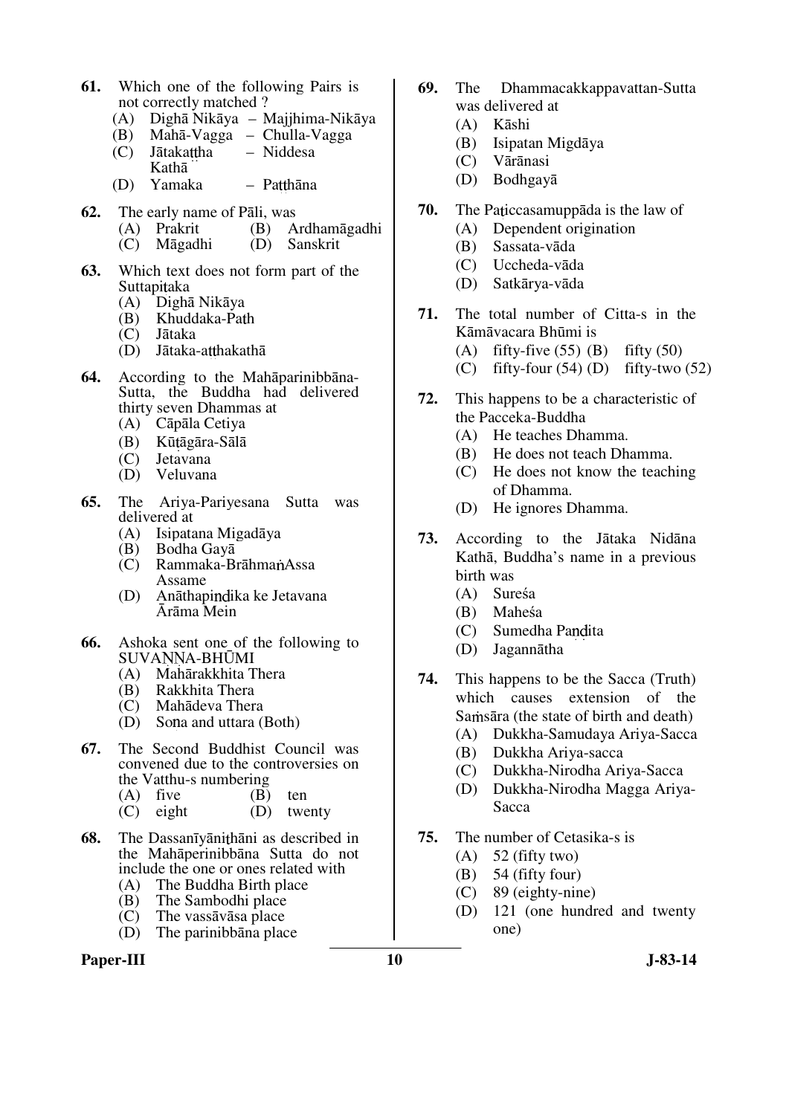- **61.** Which one of the following Pairs is not correctly matched ?
	- (A) Dighā Nikāya Majjhima-Nikāya
	- (B) Mahā-Vagga Chulla-Vagga  $(C)$  Jātakattha – Niddesa
	- Kathā (D) Yamaka – Patthāna
- **62.** The early name of Pāli, was<br>
(A) Prakrit (B) A
	- (B) Ardhamāgadhi<br>(D) Sanskrit
		- $(C)$  Māgadhi
- **63.** Which text does not form part of the
	- Suttapitaka<br>(A) Dighā Dighā Nikāya
	- (B) Khuddaka-Path
	- (C) Jātaka
	- $(D)$  Jātaka-atthakathā
- **64.** According to the Mahāparinibbāna-Sutta, the Buddha had delivered thirty seven Dhammas at
	- (A) Cāpāla Cetiya
	- (B) Kūtāgāra-Sālā<br>(C) Jetavana
	- Jetavana
	- (D) Veluvana
- **65.** The Ariya-Pariyesana Sutta was delivered at
	- (A) Isipatana Migadāya
	- (B) Bodha Gayā
	- (C) Rammaka-BrāhmanAssa Assame
	- (D) Anāthapindika ke Jetavana Ārāma Mein
- **66.** Ashoka sent one of the following to SUVANNA-BHŪMI
	- (A) Mahārakkhita Thera
	- (B) Rakkhita Thera
	- (C) Mahādeva Thera<br>(D) Sona and uttara (
	- Sona and uttara (Both)
- **67.** The Second Buddhist Council was convened due to the controversies on the Vatthu-s numbering
	- (A) five  $(B)$  ten<br>
	(C) eight  $(D)$  two
	- twenty
- **68.** The Dassanīyāni thāni as described in the Mahāperinibbāna Sutta do not include the one or ones related with<br>(A) The Buddha Birth place
	- (A) The Buddha Birth place<br>(B) The Sambodhi place
	- (B) The Sambodhi place<br>(C) The vassavasa place
	- The vassāvāsa place
	- (D) The parinibbāna place

### Paper-III **10** J-83-14

- **69.** The Dhammacakkappavattan-Sutta was delivered at
	- (A) Kāshi
	- (B) Isipatan Migdāya
	- (C) Vārānasi
	- (D) Bodhgayā
- **70.** The Paticcasamuppāda is the law of
	- (A) Dependent origination
	- (B) Sassata-vāda
	- (C) Uccheda-vāda
	- (D) Satkārya-vāda
- **71.** The total number of Citta-s in the Kāmāvacara Bhūmi is
	- (A) fifty-five  $(55)$  (B) fifty  $(50)$
	- (C) fifty-four  $(54)$  (D) fifty-two  $(52)$
- **72.** This happens to be a characteristic of the Pacceka-Buddha
	- (A) He teaches Dhamma.
	- (B) He does not teach Dhamma.
	- (C) He does not know the teaching of Dhamma.
	- (D) He ignores Dhamma.
- **73.** According to the Jātaka Nidāna Kathā, Buddha's name in a previous birth was
	- (A) Sureśa
	- (B) Maheśa
	- (C) Sumedha Pandita
	- (D) Jagannātha
- **74.** This happens to be the Sacca (Truth) which causes extension of the Samsara (the state of birth and death)
	- (A) Dukkha-Samudaya Ariya-Sacca
	- (B) Dukkha Ariya-sacca
	- (C) Dukkha-Nirodha Ariya-Sacca
	- (D) Dukkha-Nirodha Magga Ariya-Sacca
- **75.** The number of Cetasika-s is
	- $(A)$  52 (fifty two)
	- (B) 54 (fifty four)
	- (C) 89 (eighty-nine)
	- (D) 121 (one hundred and twenty one)
-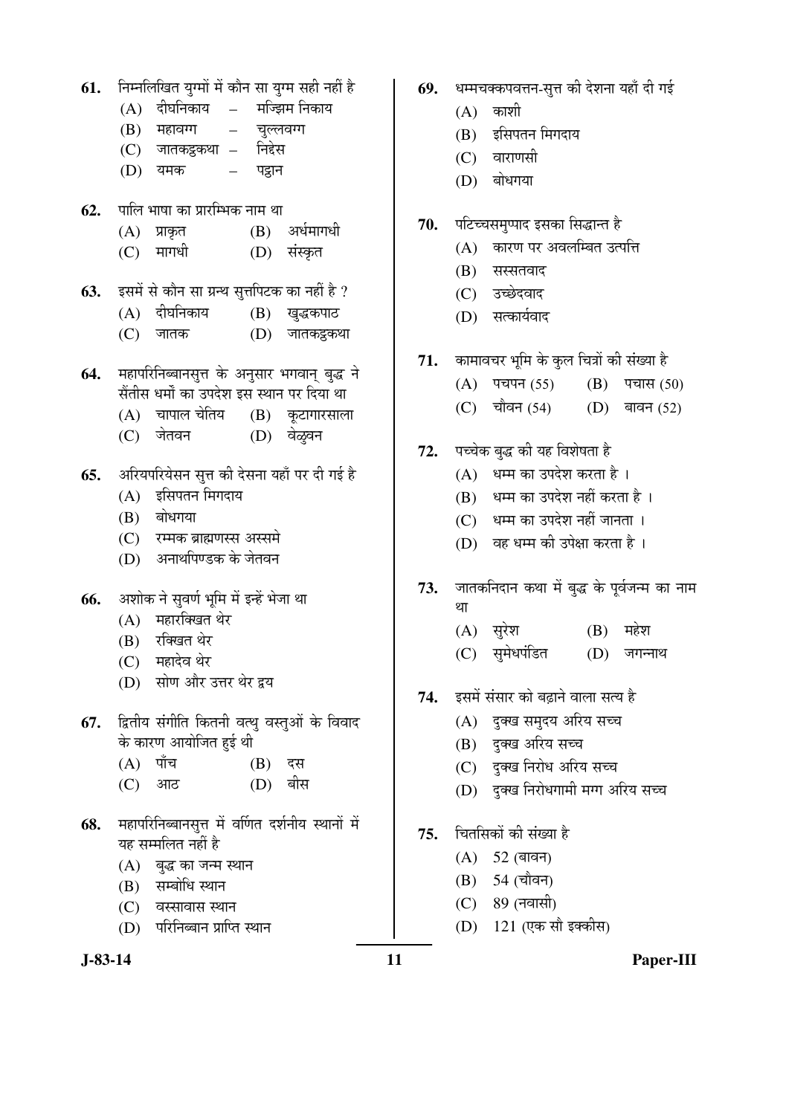61. Fiम्नलिखित युग्मों में कौन सा युग्म सही नहीं है  $(A)$  दीघनिकाय – मज्झिम निकाय  $(B)$  महावग्ग – चुल्लवग्ग (C) जातकट्ठकथा – निद्देस (D) यमक – पट्नान **62.** पालि भाषा का प्रारम्भिक नाम था  $(A)$  प्राकृत  $(B)$  अर्धमागधी (C) मागधी (D) संस्कृत **63.** इसमें से कौन सा ग्रन्थ सत्तपिटक का नहीं है ? (A) दीघनिकाय (B) खुद्धकपाठ  $(C)$  जातक  $(D)$  जातकट्टकथा 64. महापरिनिब्बानसुत्त के अनुसार भगवान् बुद्ध ने सैंतीस धर्मों का उपदेश इस स्थान पर दिया था  $(A)$  चापाल चेतिय $(B)$  कटागारसाला (C) जेतवन (D) वेळूबन 65. ¥अरियपरियेसन सुत्त की देसना यहाँ पर दी गई है  $(A)$  इसिपतन मिगदाय  $(B)$  बोधगया (C) रम्मक ब्राह्मणस्स अस्समे (D) अनाथपिण्डक के जेतवन 66. अशोक ने सुवर्ण भूमि में इन्हें भेजा था  $(A)$  महारक्खित थेर (B) रक्खित थेर (C) महादेव थेर (D) सोण और उत्तर थेर द्वय 67. द्वितीय संगीति कितनी वत्थु वस्तुओं के विवाद के कारण आयोजित हुई थी (A) पाँच (B) दस (C) आठ (D) बीस 68. महापरिनिब्बानसूत्त में वर्णित दर्शनीय स्थानों में यह सम्मलित नहीं है  $(A)$  बुद्ध का जन्म स्थान (B) सम्बोधि स्थान  $(C)$  aस्सावास स्थान (D) परिनिब्बान प्राप्ति स्थान

- 69. धम्मचक्कपवत्तन-सुत्त की देशना यहाँ दी गई
	- $(A)$  काशी
	- (B) इसिपतन मिगदाय
	- (C) वाराणसी
	- $(D)$  बोधगया
- 70. पटिच्चसमुप्पाद इसका सिद्धान्त है
	- (A) कारण पर अवलम्बित उत्पत्ति
	- $(B)$  सस्सतवाद
	- (C) उच्छेदवाद
	- (D) सत्कार्यवाद
- 71. कामावचर भूमि के कुल चित्रों की संख्या है
	- $(A)$  पचपन (55)  $(B)$  पचास (50)
	- $(C)$  चौवन (54)  $(D)$  बावन (52)
- 72. पच्चेक बुद्ध की यह विशेषता है
	- $(A)$  धम्म का उपदेश करता है।
	- (B) धम्म का उपदेश नहीं करता है ।
	- (C) धम्म का उपदेश नहीं जानता ।
	- (D) वह धम्म की उपेक्षा करता है ।
- 73. जातकनिदान कथा में बुद्ध के पूर्वजन्म का नाम था
	- $(A)$  सुरेश  $(B)$  महेश
	- (C) सुमेधपंडित (D) जगन्नाथ
- 74. इसमें संसार को बढ़ाने वाला सत्य है
	- $(A)$  दुक्ख समुदय अरिय सच्च
	- (B) दुक्ख अरिय सच्च
	- (C) दुक्ख निरोध अरिय सच्च
	- (D) दुक्ख निरोधगामी मग्ग अरिय सच्च
- 75. चितसिकों की संख्या है
	- $(A) 52$  (बावन)
	- (B) 54 (चौवन)
	- (C) 89 (नवासी)
	- (D) 121 (एक सौ इक्कीस)
- 

**J-83-14 11 Paper-III**